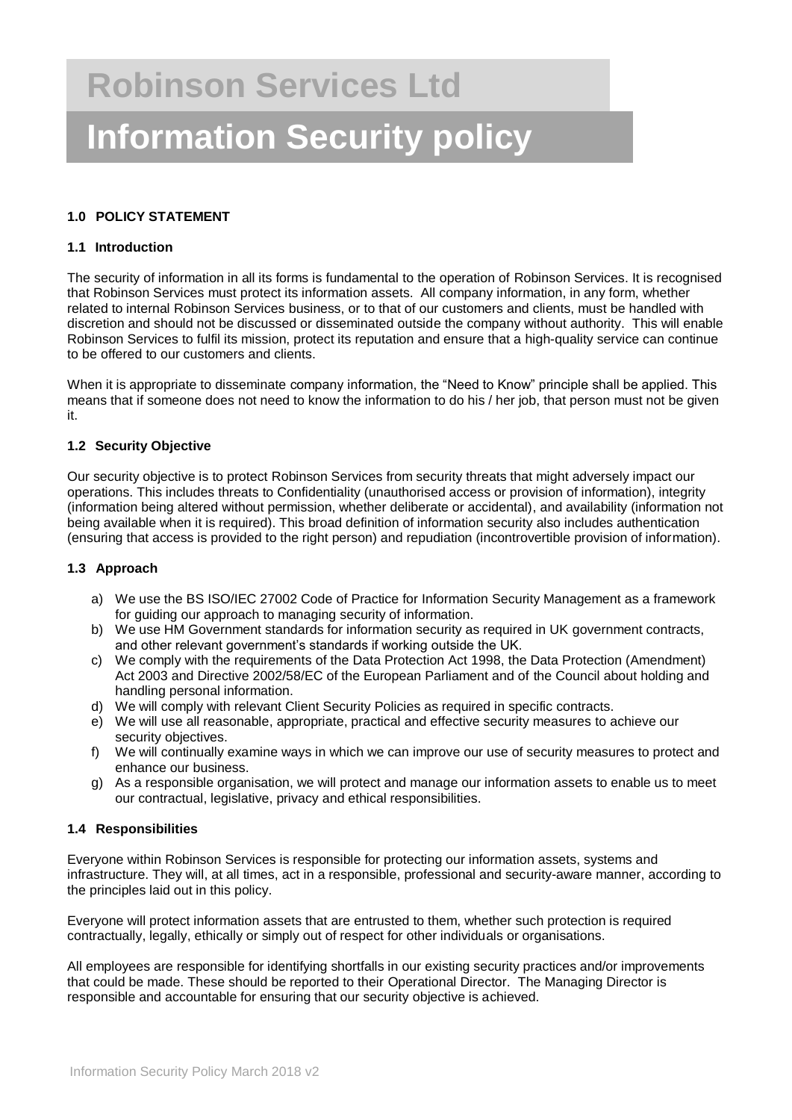## **1.0 POLICY STATEMENT**

### **1.1 Introduction**

The security of information in all its forms is fundamental to the operation of Robinson Services. It is recognised that Robinson Services must protect its information assets. All company information, in any form, whether related to internal Robinson Services business, or to that of our customers and clients, must be handled with discretion and should not be discussed or disseminated outside the company without authority. This will enable Robinson Services to fulfil its mission, protect its reputation and ensure that a high-quality service can continue to be offered to our customers and clients.

When it is appropriate to disseminate company information, the "Need to Know" principle shall be applied. This means that if someone does not need to know the information to do his / her job, that person must not be given it.

### **1.2 Security Objective**

Our security objective is to protect Robinson Services from security threats that might adversely impact our operations. This includes threats to Confidentiality (unauthorised access or provision of information), integrity (information being altered without permission, whether deliberate or accidental), and availability (information not being available when it is required). This broad definition of information security also includes authentication (ensuring that access is provided to the right person) and repudiation (incontrovertible provision of information).

#### **1.3 Approach**

- a) We use the BS ISO/IEC 27002 Code of Practice for Information Security Management as a framework for guiding our approach to managing security of information.
- b) We use HM Government standards for information security as required in UK government contracts, and other relevant government's standards if working outside the UK.
- c) We comply with the requirements of the Data Protection Act 1998, the Data Protection (Amendment) Act 2003 and Directive 2002/58/EC of the European Parliament and of the Council about holding and handling personal information.
- d) We will comply with relevant Client Security Policies as required in specific contracts.
- e) We will use all reasonable, appropriate, practical and effective security measures to achieve our security objectives.
- f) We will continually examine ways in which we can improve our use of security measures to protect and enhance our business.
- g) As a responsible organisation, we will protect and manage our information assets to enable us to meet our contractual, legislative, privacy and ethical responsibilities.

### **1.4 Responsibilities**

Everyone within Robinson Services is responsible for protecting our information assets, systems and infrastructure. They will, at all times, act in a responsible, professional and security-aware manner, according to the principles laid out in this policy.

Everyone will protect information assets that are entrusted to them, whether such protection is required contractually, legally, ethically or simply out of respect for other individuals or organisations.

All employees are responsible for identifying shortfalls in our existing security practices and/or improvements that could be made. These should be reported to their Operational Director. The Managing Director is responsible and accountable for ensuring that our security objective is achieved.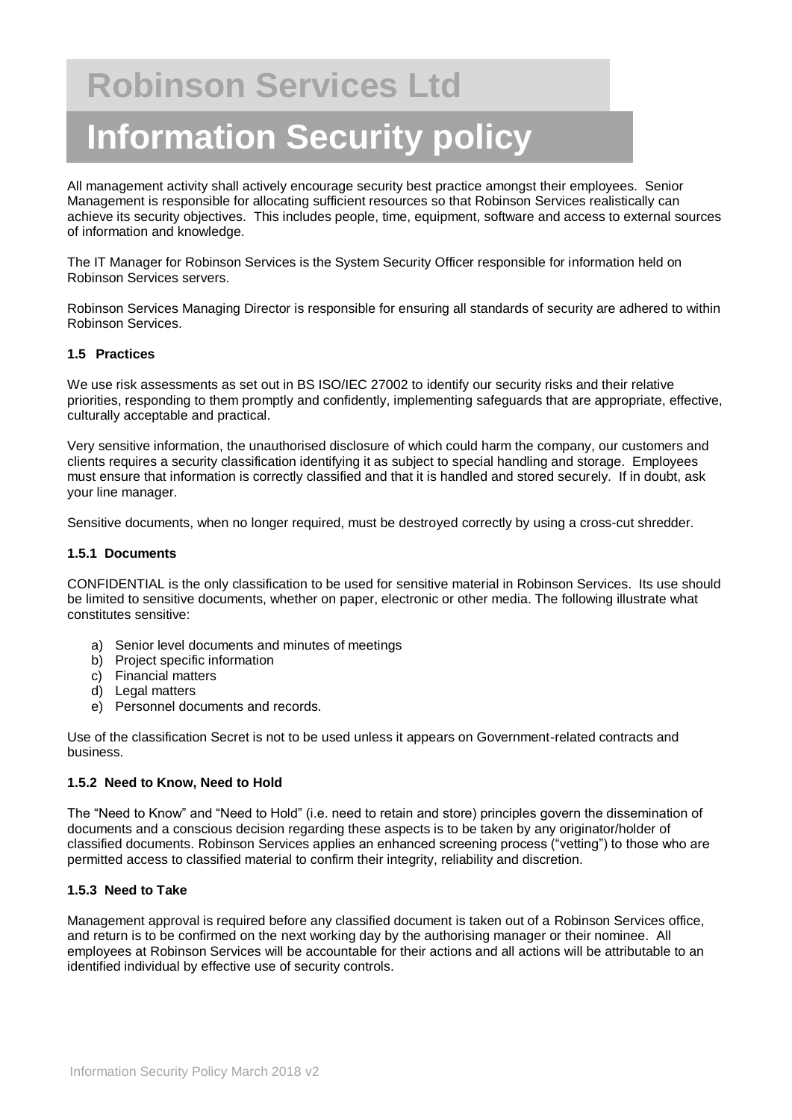All management activity shall actively encourage security best practice amongst their employees. Senior Management is responsible for allocating sufficient resources so that Robinson Services realistically can achieve its security objectives. This includes people, time, equipment, software and access to external sources of information and knowledge.

The IT Manager for Robinson Services is the System Security Officer responsible for information held on Robinson Services servers.

Robinson Services Managing Director is responsible for ensuring all standards of security are adhered to within Robinson Services.

### **1.5 Practices**

We use risk assessments as set out in BS ISO/IEC 27002 to identify our security risks and their relative priorities, responding to them promptly and confidently, implementing safeguards that are appropriate, effective, culturally acceptable and practical.

Very sensitive information, the unauthorised disclosure of which could harm the company, our customers and clients requires a security classification identifying it as subject to special handling and storage. Employees must ensure that information is correctly classified and that it is handled and stored securely. If in doubt, ask your line manager.

Sensitive documents, when no longer required, must be destroyed correctly by using a cross-cut shredder.

### **1.5.1 Documents**

CONFIDENTIAL is the only classification to be used for sensitive material in Robinson Services. Its use should be limited to sensitive documents, whether on paper, electronic or other media. The following illustrate what constitutes sensitive:

- a) Senior level documents and minutes of meetings
- b) Project specific information
- c) Financial matters
- d) Legal matters
- e) Personnel documents and records.

Use of the classification Secret is not to be used unless it appears on Government-related contracts and business.

### **1.5.2 Need to Know, Need to Hold**

The "Need to Know" and "Need to Hold" (i.e. need to retain and store) principles govern the dissemination of documents and a conscious decision regarding these aspects is to be taken by any originator/holder of classified documents. Robinson Services applies an enhanced screening process ("vetting") to those who are permitted access to classified material to confirm their integrity, reliability and discretion.

### **1.5.3 Need to Take**

Management approval is required before any classified document is taken out of a Robinson Services office, and return is to be confirmed on the next working day by the authorising manager or their nominee. All employees at Robinson Services will be accountable for their actions and all actions will be attributable to an identified individual by effective use of security controls.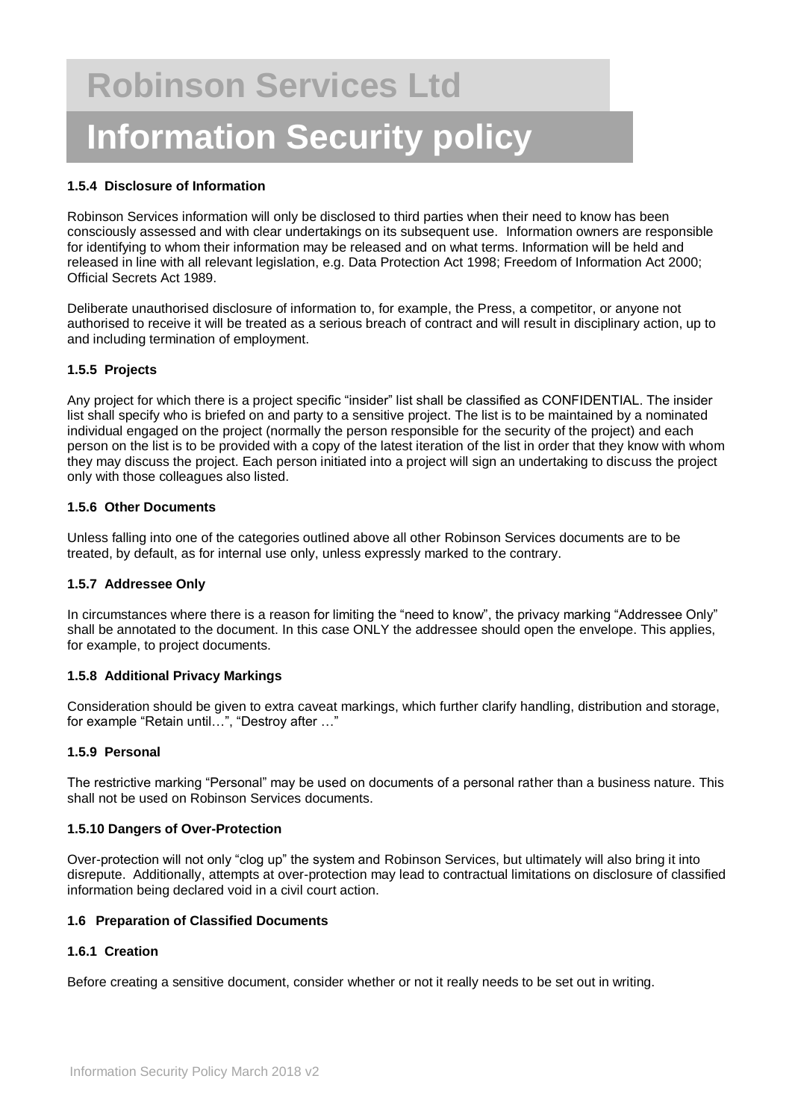### **1.5.4 Disclosure of Information**

Robinson Services information will only be disclosed to third parties when their need to know has been consciously assessed and with clear undertakings on its subsequent use. Information owners are responsible for identifying to whom their information may be released and on what terms. Information will be held and released in line with all relevant legislation, e.g. Data Protection Act 1998; Freedom of Information Act 2000; Official Secrets Act 1989.

Deliberate unauthorised disclosure of information to, for example, the Press, a competitor, or anyone not authorised to receive it will be treated as a serious breach of contract and will result in disciplinary action, up to and including termination of employment.

### **1.5.5 Projects**

Any project for which there is a project specific "insider" list shall be classified as CONFIDENTIAL. The insider list shall specify who is briefed on and party to a sensitive project. The list is to be maintained by a nominated individual engaged on the project (normally the person responsible for the security of the project) and each person on the list is to be provided with a copy of the latest iteration of the list in order that they know with whom they may discuss the project. Each person initiated into a project will sign an undertaking to discuss the project only with those colleagues also listed.

### **1.5.6 Other Documents**

Unless falling into one of the categories outlined above all other Robinson Services documents are to be treated, by default, as for internal use only, unless expressly marked to the contrary.

### **1.5.7 Addressee Only**

In circumstances where there is a reason for limiting the "need to know", the privacy marking "Addressee Only" shall be annotated to the document. In this case ONLY the addressee should open the envelope. This applies, for example, to project documents.

### **1.5.8 Additional Privacy Markings**

Consideration should be given to extra caveat markings, which further clarify handling, distribution and storage, for example "Retain until…", "Destroy after …"

### **1.5.9 Personal**

The restrictive marking "Personal" may be used on documents of a personal rather than a business nature. This shall not be used on Robinson Services documents.

### **1.5.10 Dangers of Over-Protection**

Over-protection will not only "clog up" the system and Robinson Services, but ultimately will also bring it into disrepute. Additionally, attempts at over-protection may lead to contractual limitations on disclosure of classified information being declared void in a civil court action.

### **1.6 Preparation of Classified Documents**

### **1.6.1 Creation**

Before creating a sensitive document, consider whether or not it really needs to be set out in writing.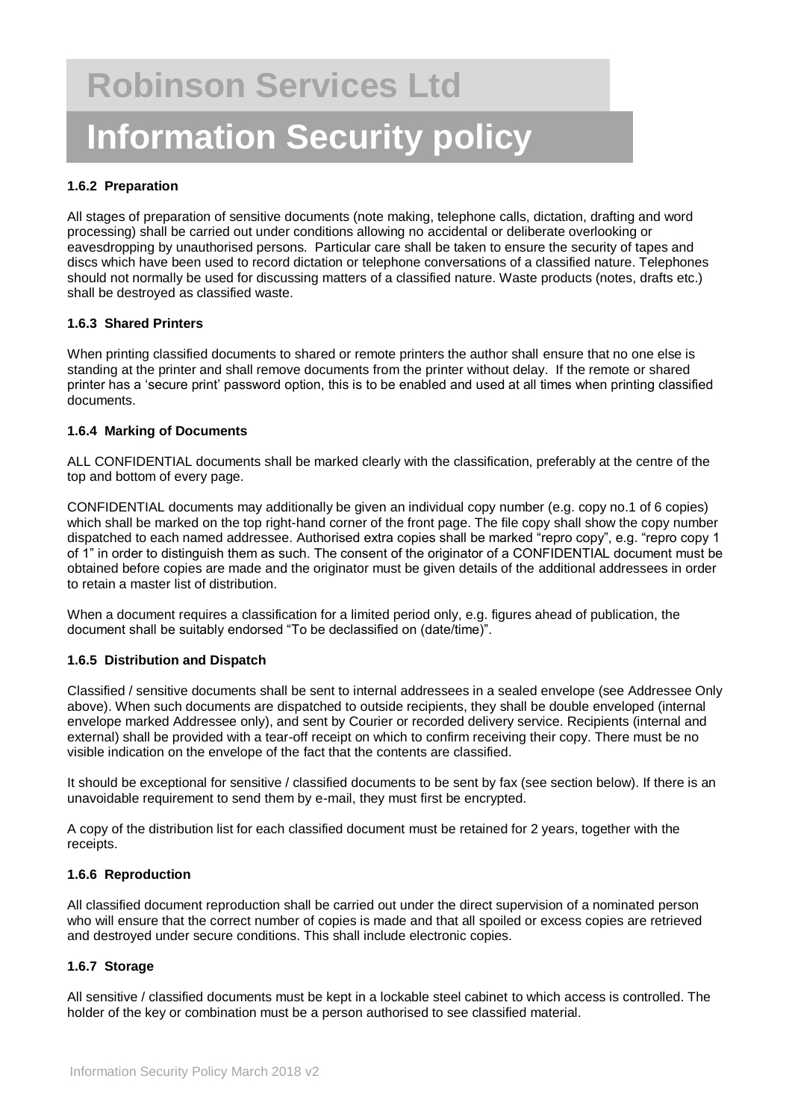## **1.6.2 Preparation**

All stages of preparation of sensitive documents (note making, telephone calls, dictation, drafting and word processing) shall be carried out under conditions allowing no accidental or deliberate overlooking or eavesdropping by unauthorised persons. Particular care shall be taken to ensure the security of tapes and discs which have been used to record dictation or telephone conversations of a classified nature. Telephones should not normally be used for discussing matters of a classified nature. Waste products (notes, drafts etc.) shall be destroyed as classified waste.

### **1.6.3 Shared Printers**

When printing classified documents to shared or remote printers the author shall ensure that no one else is standing at the printer and shall remove documents from the printer without delay. If the remote or shared printer has a 'secure print' password option, this is to be enabled and used at all times when printing classified documents.

## **1.6.4 Marking of Documents**

ALL CONFIDENTIAL documents shall be marked clearly with the classification, preferably at the centre of the top and bottom of every page.

CONFIDENTIAL documents may additionally be given an individual copy number (e.g. copy no.1 of 6 copies) which shall be marked on the top right-hand corner of the front page. The file copy shall show the copy number dispatched to each named addressee. Authorised extra copies shall be marked "repro copy", e.g. "repro copy 1 of 1" in order to distinguish them as such. The consent of the originator of a CONFIDENTIAL document must be obtained before copies are made and the originator must be given details of the additional addressees in order to retain a master list of distribution.

When a document requires a classification for a limited period only, e.g. figures ahead of publication, the document shall be suitably endorsed "To be declassified on (date/time)".

### **1.6.5 Distribution and Dispatch**

Classified / sensitive documents shall be sent to internal addressees in a sealed envelope (see Addressee Only above). When such documents are dispatched to outside recipients, they shall be double enveloped (internal envelope marked Addressee only), and sent by Courier or recorded delivery service. Recipients (internal and external) shall be provided with a tear-off receipt on which to confirm receiving their copy. There must be no visible indication on the envelope of the fact that the contents are classified.

It should be exceptional for sensitive / classified documents to be sent by fax (see section below). If there is an unavoidable requirement to send them by e-mail, they must first be encrypted.

A copy of the distribution list for each classified document must be retained for 2 years, together with the receipts.

### **1.6.6 Reproduction**

All classified document reproduction shall be carried out under the direct supervision of a nominated person who will ensure that the correct number of copies is made and that all spoiled or excess copies are retrieved and destroyed under secure conditions. This shall include electronic copies.

### **1.6.7 Storage**

All sensitive / classified documents must be kept in a lockable steel cabinet to which access is controlled. The holder of the key or combination must be a person authorised to see classified material.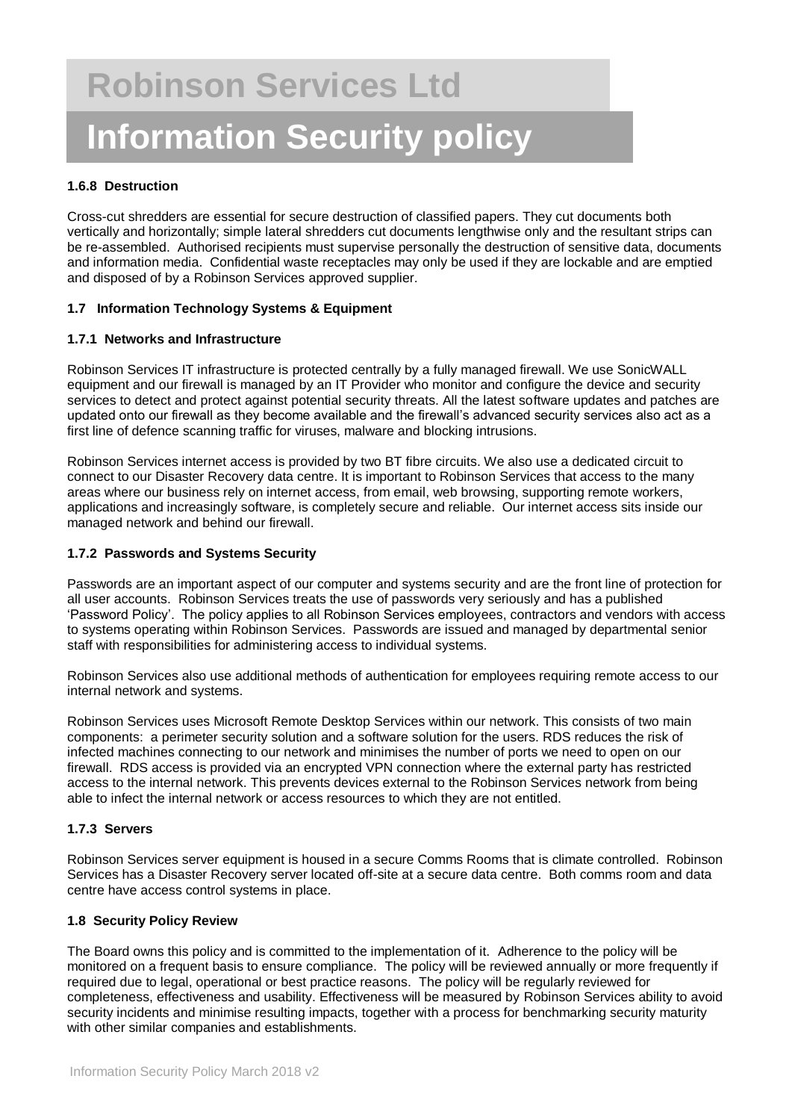## **1.6.8 Destruction**

Cross-cut shredders are essential for secure destruction of classified papers. They cut documents both vertically and horizontally; simple lateral shredders cut documents lengthwise only and the resultant strips can be re-assembled. Authorised recipients must supervise personally the destruction of sensitive data, documents and information media. Confidential waste receptacles may only be used if they are lockable and are emptied and disposed of by a Robinson Services approved supplier.

## **1.7 Information Technology Systems & Equipment**

## **1.7.1 Networks and Infrastructure**

Robinson Services IT infrastructure is protected centrally by a fully managed firewall. We use SonicWALL equipment and our firewall is managed by an IT Provider who monitor and configure the device and security services to detect and protect against potential security threats. All the latest software updates and patches are updated onto our firewall as they become available and the firewall's advanced security services also act as a first line of defence scanning traffic for viruses, malware and blocking intrusions.

Robinson Services internet access is provided by two BT fibre circuits. We also use a dedicated circuit to connect to our Disaster Recovery data centre. It is important to Robinson Services that access to the many areas where our business rely on internet access, from email, web browsing, supporting remote workers, applications and increasingly software, is completely secure and reliable. Our internet access sits inside our managed network and behind our firewall.

### **1.7.2 Passwords and Systems Security**

Passwords are an important aspect of our computer and systems security and are the front line of protection for all user accounts. Robinson Services treats the use of passwords very seriously and has a published 'Password Policy'. The policy applies to all Robinson Services employees, contractors and vendors with access to systems operating within Robinson Services. Passwords are issued and managed by departmental senior staff with responsibilities for administering access to individual systems.

Robinson Services also use additional methods of authentication for employees requiring remote access to our internal network and systems.

Robinson Services uses Microsoft Remote Desktop Services within our network. This consists of two main components: a perimeter security solution and a software solution for the users. RDS reduces the risk of infected machines connecting to our network and minimises the number of ports we need to open on our firewall. RDS access is provided via an encrypted VPN connection where the external party has restricted access to the internal network. This prevents devices external to the Robinson Services network from being able to infect the internal network or access resources to which they are not entitled.

### **1.7.3 Servers**

Robinson Services server equipment is housed in a secure Comms Rooms that is climate controlled. Robinson Services has a Disaster Recovery server located off-site at a secure data centre. Both comms room and data centre have access control systems in place.

### **1.8 Security Policy Review**

The Board owns this policy and is committed to the implementation of it. Adherence to the policy will be monitored on a frequent basis to ensure compliance. The policy will be reviewed annually or more frequently if required due to legal, operational or best practice reasons. The policy will be regularly reviewed for completeness, effectiveness and usability. Effectiveness will be measured by Robinson Services ability to avoid security incidents and minimise resulting impacts, together with a process for benchmarking security maturity with other similar companies and establishments.